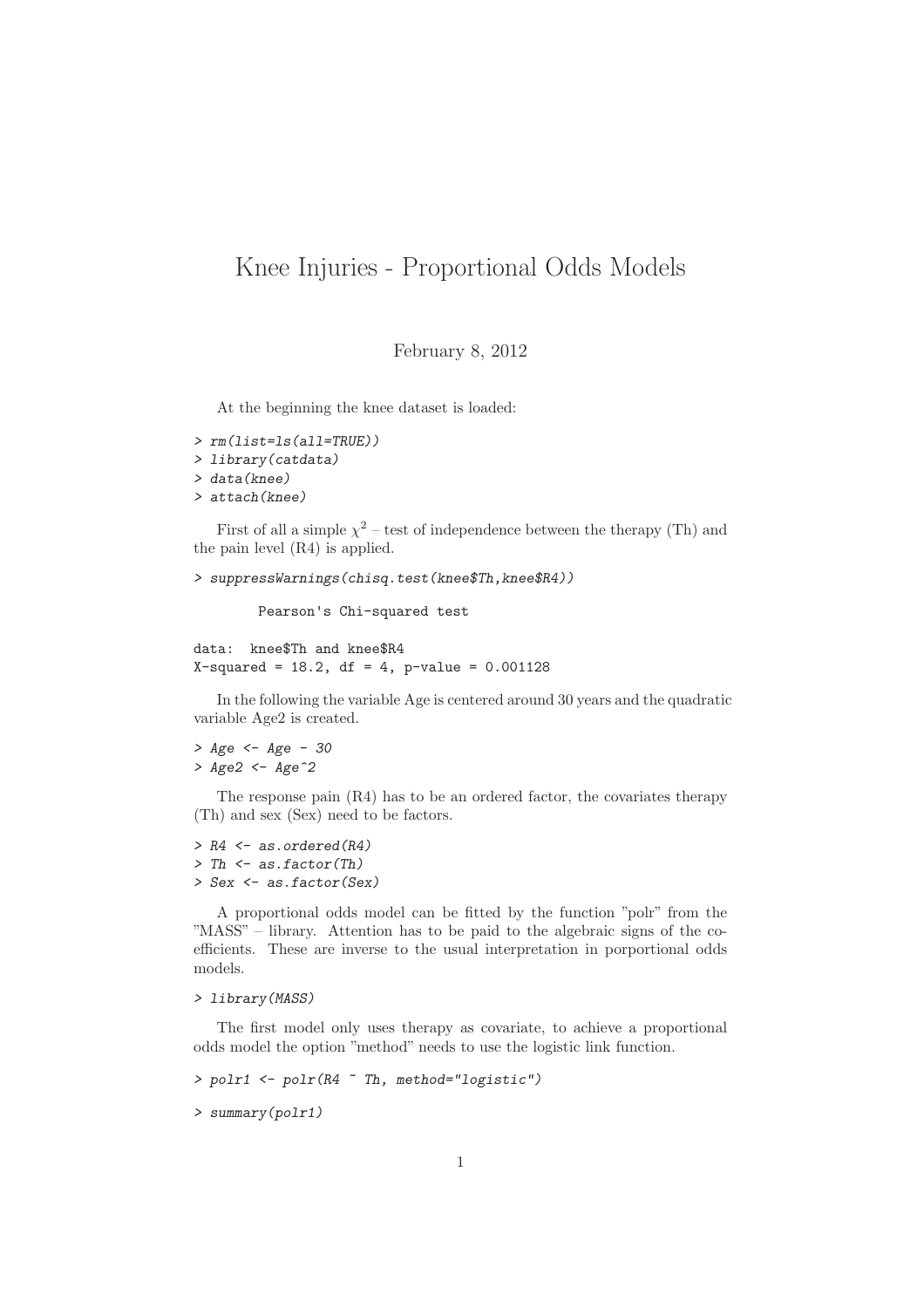## Knee Injuries - Proportional Odds Models

February 8, 2012

At the beginning the knee dataset is loaded:

```
> rm(list=ls(all=TRUE))
> library(catdata)
> data(knee)
> attach(knee)
```
First of all a simple  $\chi^2$  – test of independence between the therapy (Th) and the pain level (R4) is applied.

```
> suppressWarnings(chisq.test(knee$Th,knee$R4))
```
Pearson's Chi-squared test

```
data: knee$Th and knee$R4
X-squared = 18.2, df = 4, p-value = 0.001128
```
In the following the variable Age is centered around 30 years and the quadratic variable Age2 is created.

```
> Age <- Age - 30
> Age2 <- Age^2
```
The response pain (R4) has to be an ordered factor, the covariates therapy (Th) and sex (Sex) need to be factors.

```
> R4 <- as.ordered(R4)
> Th <- as.factor(Th)
> Sex <- as.factor(Sex)
```
A proportional odds model can be fitted by the function "polr" from the "MASS" – library. Attention has to be paid to the algebraic signs of the coefficients. These are inverse to the usual interpretation in porportional odds models.

## *> library(MASS)*

The first model only uses therapy as covariate, to achieve a proportional odds model the option "method" needs to use the logistic link function.

```
> polr1 <- polr(R4 ~ Th, method="logistic")
```

```
> summary(polr1)
```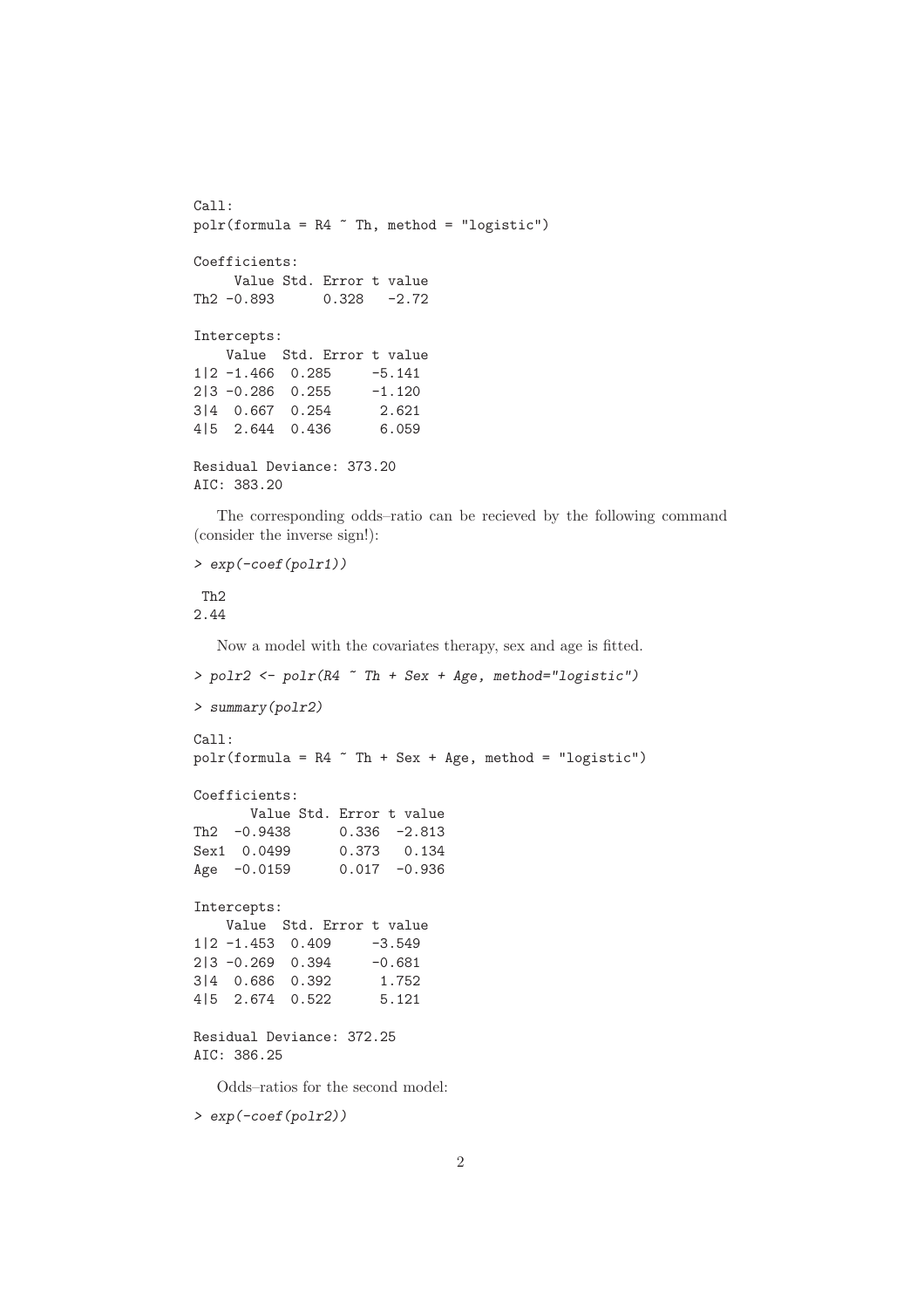```
Call:
polar(formula = R4 \text{ "Th, method = "logistic")}Coefficients:
    Value Std. Error t value
Th2 -0.893 0.328 -2.72
Intercepts:
   Value Std. Error t value
1|2 -1.466 0.285 -5.141
2|3 -0.286 0.255 -1.120
3|4 0.667 0.254 2.621
4|5 2.644 0.436 6.059
Residual Deviance: 373.20
AIC: 383.20
  The corresponding odds–ratio can be recieved by the following command
(consider the inverse sign!):
> exp(-coef(polr1))
Th2
2.44
  Now a model with the covariates therapy, sex and age is fitted.
> polr2 <- polr(R4 ~ Th + Sex + Age, method="logistic")
> summary(polr2)
Ca11:polr(formula = R4 \tilde{ } Th + Sex + Age, method = "logistic")
Coefficients:
      Value Std. Error t value
Th2 -0.9438 0.336 -2.813
Sex1 0.0499 0.373 0.134
Age -0.0159 0.017 -0.936
Intercepts:
   Value Std. Error t value
1|2 -1.453 0.409 -3.549
2|3 -0.269 0.394 -0.681
3|4 0.686 0.392 1.752
4|5 2.674 0.522 5.121
Residual Deviance: 372.25
AIC: 386.25
```
Odds–ratios for the second model:

```
> exp(-coef(polr2))
```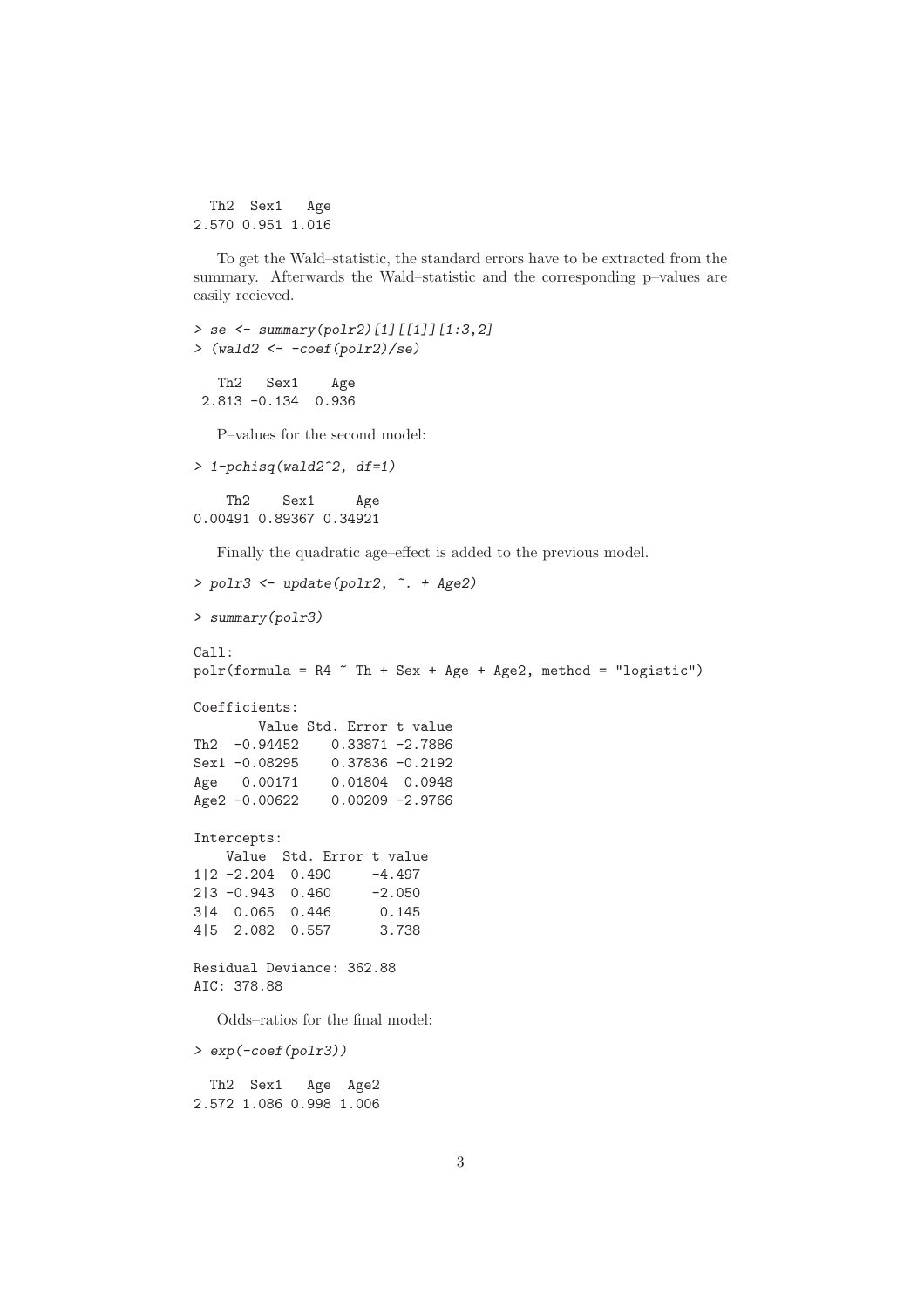Th2 Sex1 Age 2.570 0.951 1.016

To get the Wald–statistic, the standard errors have to be extracted from the summary. Afterwards the Wald–statistic and the corresponding p–values are easily recieved.

```
> se <- summary(polr2)[1][[1]][1:3,2]
> (wald2 <- -coef(polr2)/se)
  Th2 Sex1 Age
 2.813 -0.134 0.936
  P–values for the second model:
> 1-pchisq(wald2^2, df=1)
   Th2 Sex1 Age
0.00491 0.89367 0.34921
  Finally the quadratic age–effect is added to the previous model.
> polr3 <- update(polr2, ~. + Age2)
> summary(polr3)
Call:
polr(formula = R4 \tilde{ } Th + Sex + Age + Age2, method = "logistic")
Coefficients:
       Value Std. Error t value
Th2 -0.94452 0.33871 -2.7886
Sex1 -0.08295 0.37836 -0.2192
Age 0.00171 0.01804 0.0948
Age2 -0.00622 0.00209 -2.9766
Intercepts:
   Value Std. Error t value
1|2 -2.204 0.490 -4.497
2|3 -0.943 0.460 -2.050
3|4 0.065 0.446 0.145
4|5 2.082 0.557 3.738
Residual Deviance: 362.88
AIC: 378.88
  Odds–ratios for the final model:
> exp(-coef(polr3))
```
Th2 Sex1 Age Age2 2.572 1.086 0.998 1.006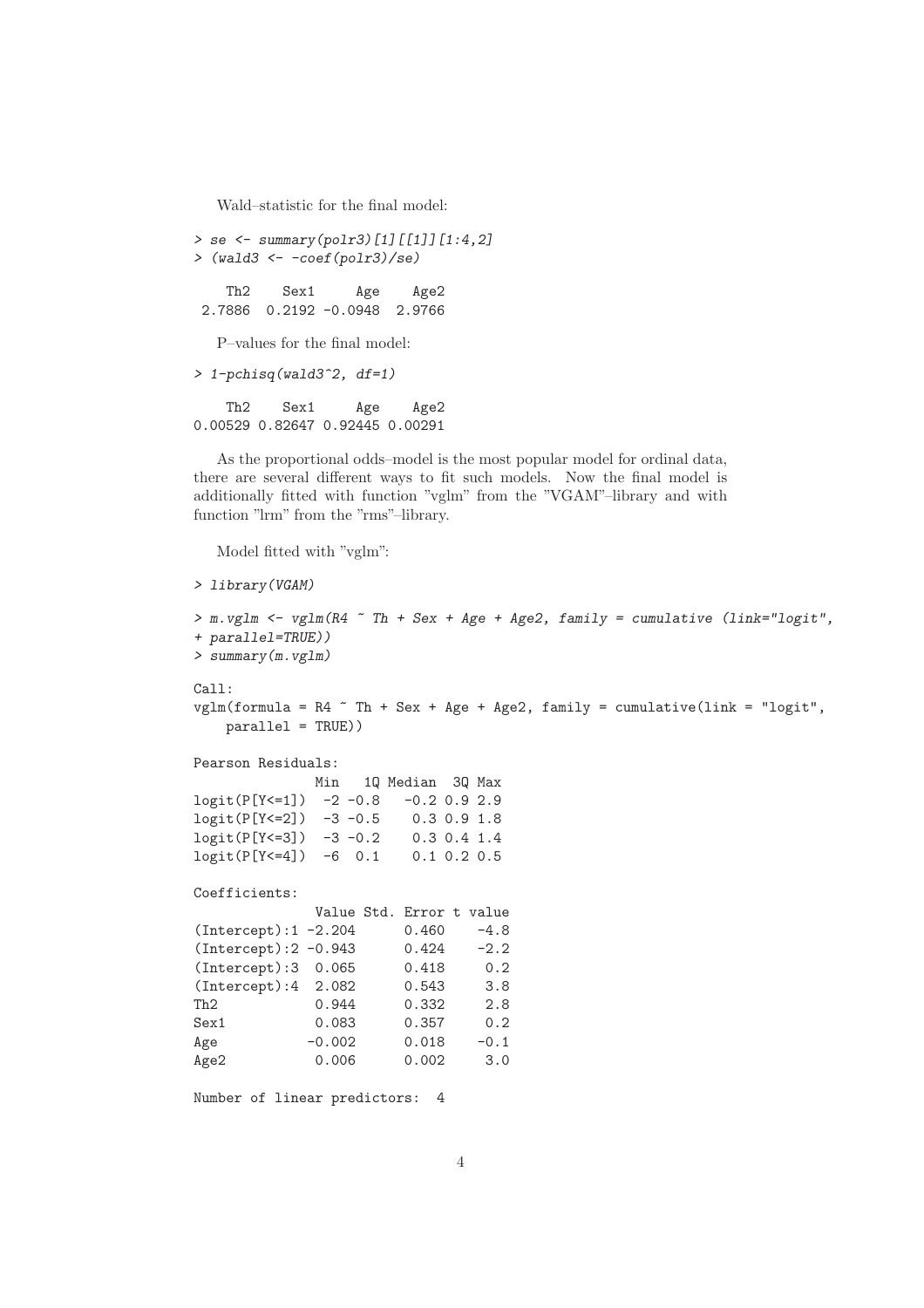Wald–statistic for the final model:

```
> se <- summary(polr3)[1][[1]][1:4,2]
> (wald3 <- -coef(polr3)/se)
   Th2 Sex1 Age Age2
2.7886 0.2192 -0.0948 2.9766
  P–values for the final model:
> 1-pchisq(wald3^2, df=1)
   Th2 Sex1 Age Age2
0.00529 0.82647 0.92445 0.00291
```
As the proportional odds–model is the most popular model for ordinal data, there are several different ways to fit such models. Now the final model is additionally fitted with function "vglm" from the "VGAM"–library and with function "lrm" from the "rms"–library.

Model fitted with "vglm":

```
> library(VGAM)
```

```
> m.vglm <- vglm(R4 ~ Th + Sex + Age + Age2, family = cumulative (link="logit",
+ parallel=TRUE))
> summary(m.vglm)
Call:
vglm(formula = R4 \text{ " } Th + Sex + Age + Age2, family = cumulative(link = "logit",parallel = TRUE))
Pearson Residuals:
            Min 1Q Median 3Q Max
logit(P[Y<=1]) -2 -0.8 -0.2 0.9 2.9
logit(P[Y<=2]) -3 -0.5 0.3 0.9 1.8
logit(P[Y<=3]) -3 -0.2 0.3 0.4 1.4
logit(P[Y<=4]) -6 0.1 0.1 0.2 0.5
Coefficients:
            Value Std. Error t value
(Intercept):1 -2.204 0.460 -4.8
(Intercept):2 -0.943 0.424 -2.2
(Intercept):3 0.065 0.418 0.2
(Intercept):4 2.082 0.543 3.8
Th2 0.944 0.332 2.8
Sex1 0.083 0.357 0.2
Age -0.002 0.018 -0.1Age2 0.006 0.002 3.0
Number of linear predictors: 4
```